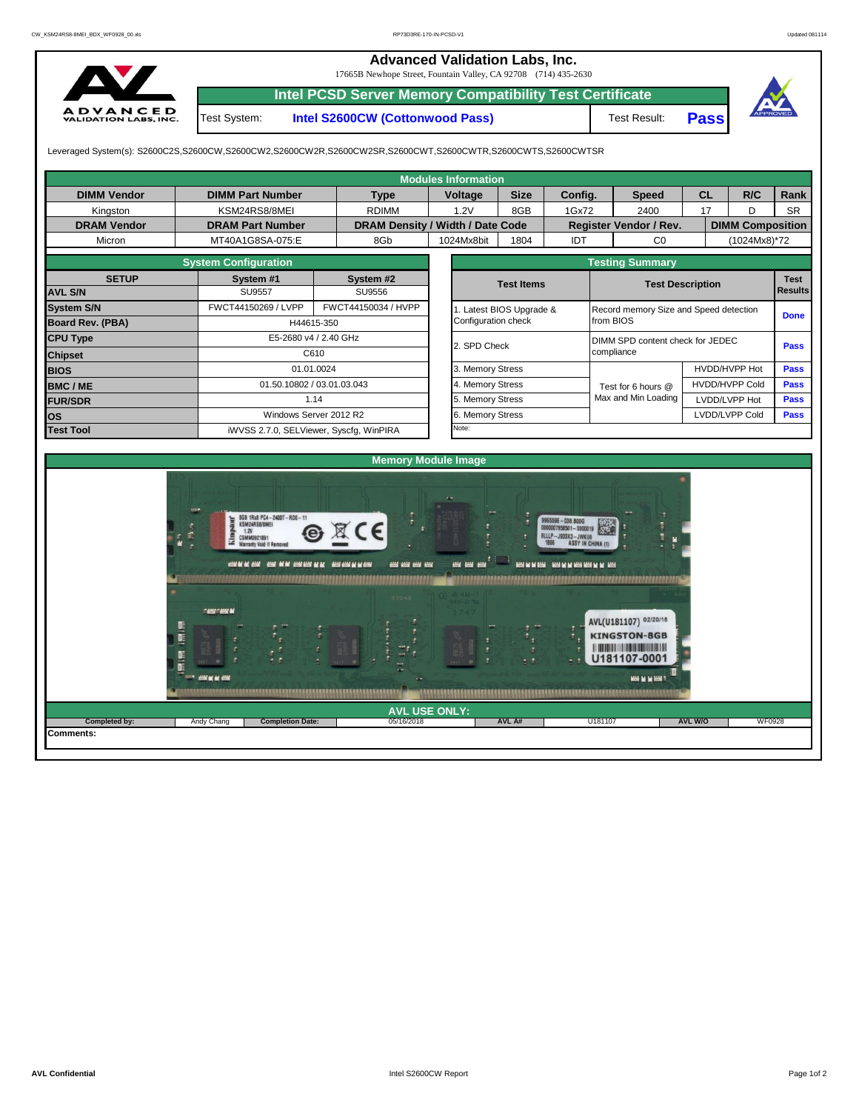## **Advanced Validation Labs, Inc.**

17665B Newhope Street, Fountain Valley, CA 92708 (714) 435-2630



**Intel PCSD Server Memory Compatibility Test Certificate**

Test System: **Intel S2600CW (Cottonwood Pass)**





Leveraged System(s): S2600C2S,S2600CW,S2600CW2,S2600CW2R,S2600CW2SR,S2600CWT,S2600CWTR,S2600CWTS,S2600CWTSR

| <b>Modules Information</b> |                                                                                                                                                                                                                                                                |                                         |                                           |                          |                                          |                                                                                                                                                                                                                                                                                                                                                                                                              |           |             |                |  |  |  |  |
|----------------------------|----------------------------------------------------------------------------------------------------------------------------------------------------------------------------------------------------------------------------------------------------------------|-----------------------------------------|-------------------------------------------|--------------------------|------------------------------------------|--------------------------------------------------------------------------------------------------------------------------------------------------------------------------------------------------------------------------------------------------------------------------------------------------------------------------------------------------------------------------------------------------------------|-----------|-------------|----------------|--|--|--|--|
| <b>DIMM Vendor</b>         | <b>DIMM Part Number</b>                                                                                                                                                                                                                                        | <b>Type</b>                             | <b>Voltage</b>                            | <b>Size</b>              | Config.                                  | <b>Speed</b>                                                                                                                                                                                                                                                                                                                                                                                                 | <b>CL</b> | R/C         | Rank           |  |  |  |  |
| Kingston                   | KSM24RS8/8MEI                                                                                                                                                                                                                                                  | <b>RDIMM</b>                            | 1.2V                                      | 8GB                      | 1Gx72                                    | 2400                                                                                                                                                                                                                                                                                                                                                                                                         | 17        | D           | <b>SR</b>      |  |  |  |  |
| <b>DRAM Vendor</b>         | <b>DRAM Part Number</b>                                                                                                                                                                                                                                        |                                         | DRAM Density / Width / Date Code          |                          |                                          |                                                                                                                                                                                                                                                                                                                                                                                                              |           |             |                |  |  |  |  |
| Micron                     | MT40A1G8SA-075:E                                                                                                                                                                                                                                               | 8Gb                                     | 1024Mx8bit                                | 1804                     | IDT                                      | $_{\rm CO}$                                                                                                                                                                                                                                                                                                                                                                                                  |           |             |                |  |  |  |  |
|                            | <b>System Configuration</b>                                                                                                                                                                                                                                    |                                         |                                           |                          |                                          |                                                                                                                                                                                                                                                                                                                                                                                                              |           |             |                |  |  |  |  |
| <b>SETUP</b>               | System #1                                                                                                                                                                                                                                                      | System #2                               |                                           | <b>Test Items</b>        |                                          |                                                                                                                                                                                                                                                                                                                                                                                                              |           |             | <b>Test</b>    |  |  |  |  |
| <b>AVL S/N</b>             | <b>SU9557</b>                                                                                                                                                                                                                                                  | SU9556                                  |                                           |                          |                                          |                                                                                                                                                                                                                                                                                                                                                                                                              |           |             | <b>Results</b> |  |  |  |  |
| <b>System S/N</b>          | FWCT44150269 / LVPP                                                                                                                                                                                                                                            | FWCT44150034 / HVPP                     |                                           | 1. Latest BIOS Upgrade & |                                          |                                                                                                                                                                                                                                                                                                                                                                                                              |           | <b>Done</b> |                |  |  |  |  |
| Board Rev. (PBA)           |                                                                                                                                                                                                                                                                | H44615-350                              | Configuration check                       |                          |                                          | from BIOS                                                                                                                                                                                                                                                                                                                                                                                                    |           |             |                |  |  |  |  |
| <b>CPU Type</b>            |                                                                                                                                                                                                                                                                | E5-2680 v4 / 2.40 GHz                   | 2. SPD Check                              |                          |                                          | Register Vendor / Rev.<br><b>DIMM Composition</b><br>(1024Mx8)*72<br><b>Testing Summary</b><br><b>Test Description</b><br>Record memory Size and Speed detection<br>DIMM SPD content check for JEDEC<br>compliance<br>HVDD/HVPP Hot<br><b>HVDD/HVPP Cold</b><br>Test for 6 hours @<br>Max and Min Loading<br>LVDD/LVPP Hot<br>LVDD/LVPP Cold<br><b>ASSY IN CHINA (1)</b><br><b>REPARENT RESIDENCES MODEL</b> | Pass      |             |                |  |  |  |  |
| <b>Chipset</b>             |                                                                                                                                                                                                                                                                | C610                                    |                                           |                          |                                          |                                                                                                                                                                                                                                                                                                                                                                                                              |           |             |                |  |  |  |  |
| <b>BIOS</b>                |                                                                                                                                                                                                                                                                | 01.01.0024                              | 3. Memory Stress                          |                          |                                          |                                                                                                                                                                                                                                                                                                                                                                                                              |           | Pass        |                |  |  |  |  |
| <b>BMC/ME</b>              |                                                                                                                                                                                                                                                                | 01.50.10802 / 03.01.03.043              | 4. Memory Stress                          |                          |                                          |                                                                                                                                                                                                                                                                                                                                                                                                              |           | <b>Pass</b> |                |  |  |  |  |
| <b>FUR/SDR</b>             |                                                                                                                                                                                                                                                                | 1.14                                    | 5. Memory Stress                          |                          |                                          |                                                                                                                                                                                                                                                                                                                                                                                                              |           | <b>Pass</b> |                |  |  |  |  |
| los                        |                                                                                                                                                                                                                                                                | Windows Server 2012 R2                  | 6. Memory Stress                          |                          |                                          |                                                                                                                                                                                                                                                                                                                                                                                                              |           |             | Pass           |  |  |  |  |
| <b>Test Tool</b>           |                                                                                                                                                                                                                                                                | iWVSS 2.7.0, SELViewer, Syscfq, WinPIRA | Note:                                     |                          |                                          |                                                                                                                                                                                                                                                                                                                                                                                                              |           |             |                |  |  |  |  |
|                            | 8GB 1Rx8 PC4-2400T-RD0-11<br>KSM24RS8/8MEI<br>F.<br>1.2V<br>不成<br>CSMM0921891<br>m.<br>Warranty Void If Removed<br>contact at each - control of the contactor at an - according at elect<br><b>BARARA PARA MARARA NA TARA NA TATIKA PA</b><br><b>CONCORD M</b> | $\epsilon$<br>----<br>57049             | <b>Memory Module Image</b><br>ens ans ens |                          | 9965596 - 038.800G<br>8LLLP-J93SK3-JWKU6 | AVL(U181107) 02/20/18                                                                                                                                                                                                                                                                                                                                                                                        |           |             |                |  |  |  |  |

**Completed by:** Andy Chang **AVL W/O** WF0928

**AVL USE ONLY:**

**Completion Date:** 

B

B

**CHANGE** 

05/16/2018 **AVL A#**

U181107

<u>isananananananananananananananananan</u>

KINGSTON-8GB 

U181107-0001

**BENNET** 

**Comments:**